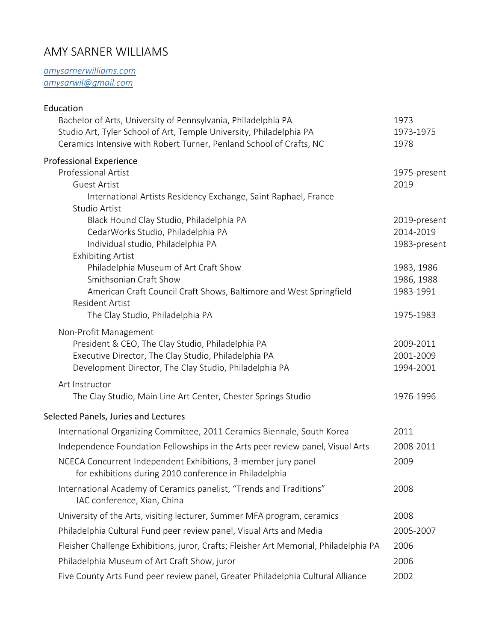## AMY SARNER WILLIAMS

*amysarnerwilliams.com amysarwil@gmail.com*

| Education                                                                                                               |              |
|-------------------------------------------------------------------------------------------------------------------------|--------------|
| Bachelor of Arts, University of Pennsylvania, Philadelphia PA                                                           | 1973         |
| Studio Art, Tyler School of Art, Temple University, Philadelphia PA                                                     | 1973-1975    |
| Ceramics Intensive with Robert Turner, Penland School of Crafts, NC                                                     | 1978         |
| Professional Experience                                                                                                 |              |
| <b>Professional Artist</b>                                                                                              | 1975-present |
| <b>Guest Artist</b>                                                                                                     | 2019         |
| International Artists Residency Exchange, Saint Raphael, France                                                         |              |
| Studio Artist                                                                                                           |              |
| Black Hound Clay Studio, Philadelphia PA                                                                                | 2019-present |
| CedarWorks Studio, Philadelphia PA                                                                                      | 2014-2019    |
| Individual studio, Philadelphia PA<br><b>Exhibiting Artist</b>                                                          | 1983-present |
| Philadelphia Museum of Art Craft Show                                                                                   | 1983, 1986   |
| Smithsonian Craft Show                                                                                                  | 1986, 1988   |
| American Craft Council Craft Shows, Baltimore and West Springfield                                                      | 1983-1991    |
| Resident Artist                                                                                                         |              |
| The Clay Studio, Philadelphia PA                                                                                        | 1975-1983    |
| Non-Profit Management                                                                                                   |              |
| President & CEO, The Clay Studio, Philadelphia PA                                                                       | 2009-2011    |
| Executive Director, The Clay Studio, Philadelphia PA                                                                    | 2001-2009    |
| Development Director, The Clay Studio, Philadelphia PA                                                                  | 1994-2001    |
| Art Instructor                                                                                                          |              |
| The Clay Studio, Main Line Art Center, Chester Springs Studio                                                           | 1976-1996    |
| Selected Panels, Juries and Lectures                                                                                    |              |
| International Organizing Committee, 2011 Ceramics Biennale, South Korea                                                 | 2011         |
| Independence Foundation Fellowships in the Arts peer review panel, Visual Arts                                          | 2008-2011    |
| NCECA Concurrent Independent Exhibitions, 3-member jury panel<br>for exhibitions during 2010 conference in Philadelphia | 2009         |
| International Academy of Ceramics panelist, "Trends and Traditions"                                                     | 2008         |
| IAC conference, Xian, China                                                                                             |              |
| University of the Arts, visiting lecturer, Summer MFA program, ceramics                                                 | 2008         |
| Philadelphia Cultural Fund peer review panel, Visual Arts and Media                                                     | 2005-2007    |
| Fleisher Challenge Exhibitions, juror, Crafts; Fleisher Art Memorial, Philadelphia PA                                   | 2006         |
| Philadelphia Museum of Art Craft Show, juror                                                                            | 2006         |
| Five County Arts Fund peer review panel, Greater Philadelphia Cultural Alliance                                         | 2002         |
|                                                                                                                         |              |